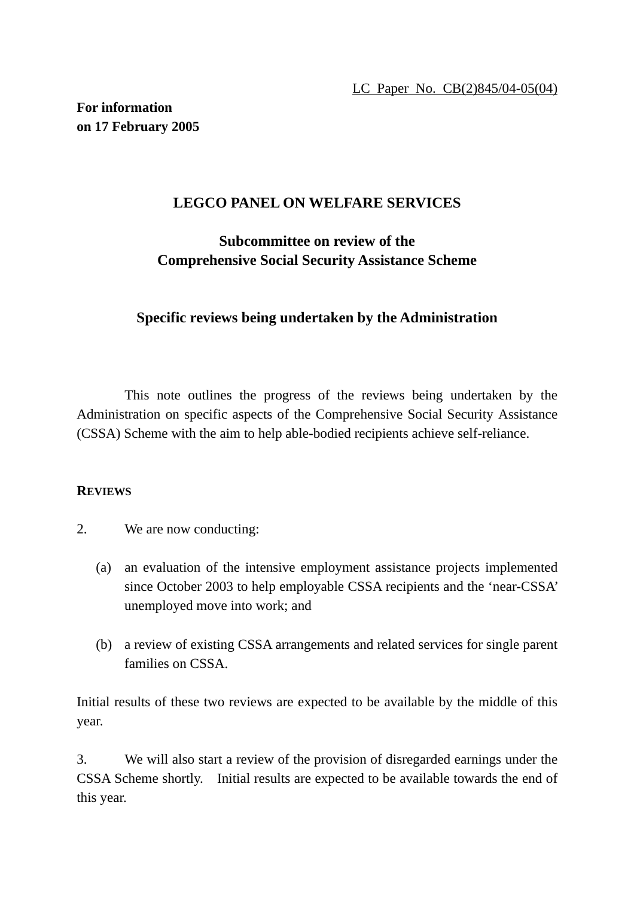## **LEGCO PANEL ON WELFARE SERVICES**

# **Subcommittee on review of the Comprehensive Social Security Assistance Scheme**

### **Specific reviews being undertaken by the Administration**

 This note outlines the progress of the reviews being undertaken by the Administration on specific aspects of the Comprehensive Social Security Assistance (CSSA) Scheme with the aim to help able-bodied recipients achieve self-reliance.

### **REVIEWS**

- 2. We are now conducting:
	- (a) an evaluation of the intensive employment assistance projects implemented since October 2003 to help employable CSSA recipients and the 'near-CSSA' unemployed move into work; and
	- (b) a review of existing CSSA arrangements and related services for single parent families on CSSA.

Initial results of these two reviews are expected to be available by the middle of this year.

3. We will also start a review of the provision of disregarded earnings under the CSSA Scheme shortly. Initial results are expected to be available towards the end of this year.